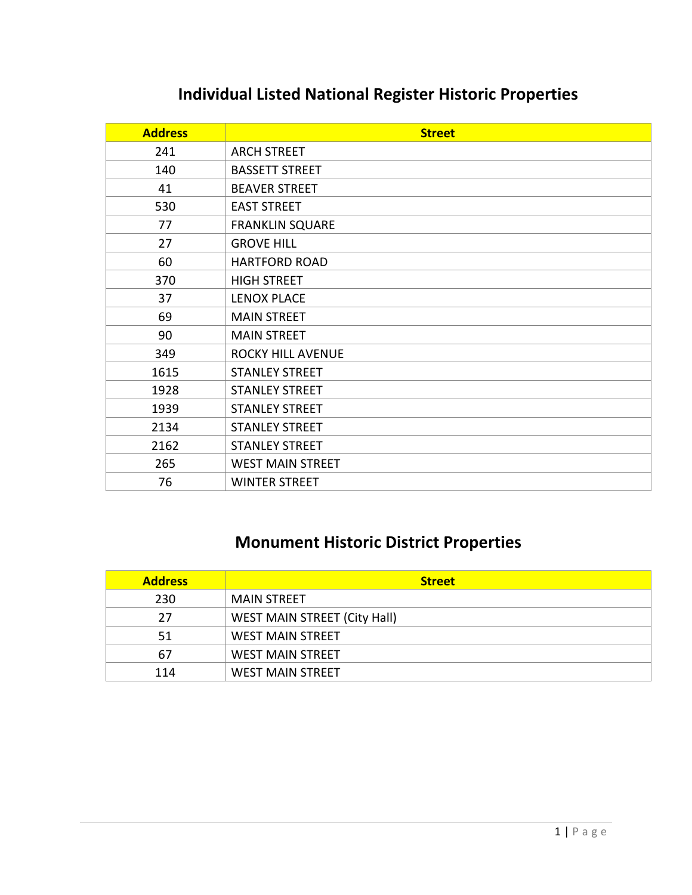### **Individual Listed National Register Historic Properties**

| <b>Address</b> | <b>Street</b>            |
|----------------|--------------------------|
| 241            | <b>ARCH STREET</b>       |
| 140            | <b>BASSETT STREET</b>    |
| 41             | <b>BEAVER STREET</b>     |
| 530            | <b>EAST STREET</b>       |
| 77             | <b>FRANKLIN SQUARE</b>   |
| 27             | <b>GROVE HILL</b>        |
| 60             | <b>HARTFORD ROAD</b>     |
| 370            | <b>HIGH STREET</b>       |
| 37             | <b>LENOX PLACE</b>       |
| 69             | <b>MAIN STREET</b>       |
| 90             | <b>MAIN STREET</b>       |
| 349            | <b>ROCKY HILL AVENUE</b> |
| 1615           | <b>STANLEY STREET</b>    |
| 1928           | <b>STANLEY STREET</b>    |
| 1939           | <b>STANLEY STREET</b>    |
| 2134           | <b>STANLEY STREET</b>    |
| 2162           | <b>STANLEY STREET</b>    |
| 265            | <b>WEST MAIN STREET</b>  |
| 76             | <b>WINTER STREET</b>     |

### **Monument Historic District Properties**

| <b>Address</b> | <b>Street</b>                       |
|----------------|-------------------------------------|
| 230            | <b>MAIN STREET</b>                  |
| 27             | <b>WEST MAIN STREET (City Hall)</b> |
| 51             | <b>WEST MAIN STREET</b>             |
| 67             | <b>WEST MAIN STREET</b>             |
| 114            | <b>WEST MAIN STREET</b>             |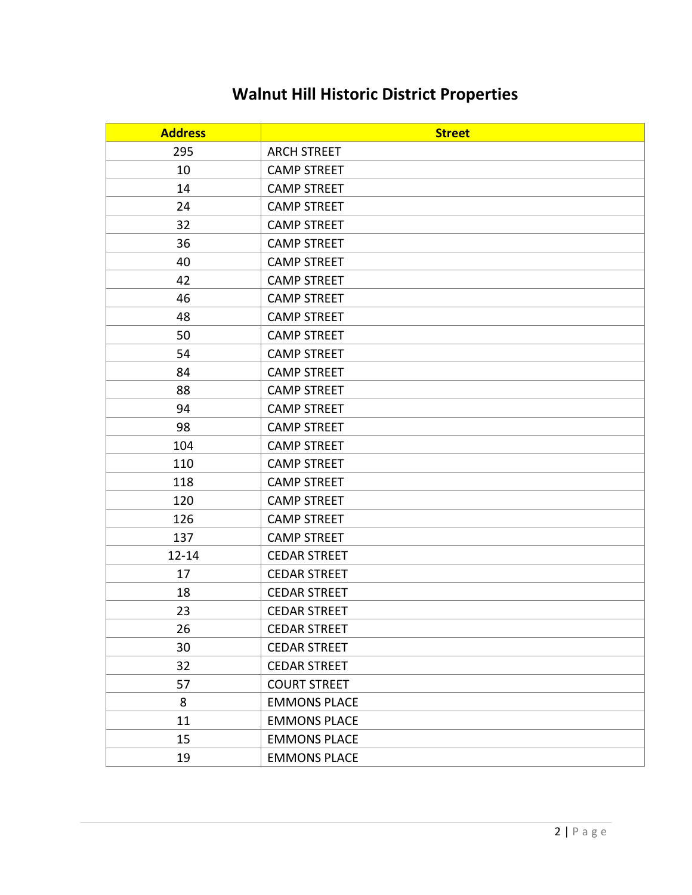### **Walnut Hill Historic District Properties**

| <b>Address</b> | <b>Street</b>       |
|----------------|---------------------|
| 295            | <b>ARCH STREET</b>  |
| 10             | <b>CAMP STREET</b>  |
| 14             | <b>CAMP STREET</b>  |
| 24             | <b>CAMP STREET</b>  |
| 32             | <b>CAMP STREET</b>  |
| 36             | <b>CAMP STREET</b>  |
| 40             | <b>CAMP STREET</b>  |
| 42             | <b>CAMP STREET</b>  |
| 46             | <b>CAMP STREET</b>  |
| 48             | <b>CAMP STREET</b>  |
| 50             | <b>CAMP STREET</b>  |
| 54             | <b>CAMP STREET</b>  |
| 84             | <b>CAMP STREET</b>  |
| 88             | <b>CAMP STREET</b>  |
| 94             | <b>CAMP STREET</b>  |
| 98             | <b>CAMP STREET</b>  |
| 104            | <b>CAMP STREET</b>  |
| 110            | <b>CAMP STREET</b>  |
| 118            | <b>CAMP STREET</b>  |
| 120            | <b>CAMP STREET</b>  |
| 126            | <b>CAMP STREET</b>  |
| 137            | <b>CAMP STREET</b>  |
| $12 - 14$      | <b>CEDAR STREET</b> |
| 17             | <b>CEDAR STREET</b> |
| 18             | <b>CEDAR STREET</b> |
| 23             | <b>CEDAR STREET</b> |
| 26             | <b>CEDAR STREET</b> |
| 30             | <b>CEDAR STREET</b> |
| 32             | <b>CEDAR STREET</b> |
| 57             | <b>COURT STREET</b> |
| 8              | <b>EMMONS PLACE</b> |
| 11             | <b>EMMONS PLACE</b> |
| 15             | <b>EMMONS PLACE</b> |
| 19             | <b>EMMONS PLACE</b> |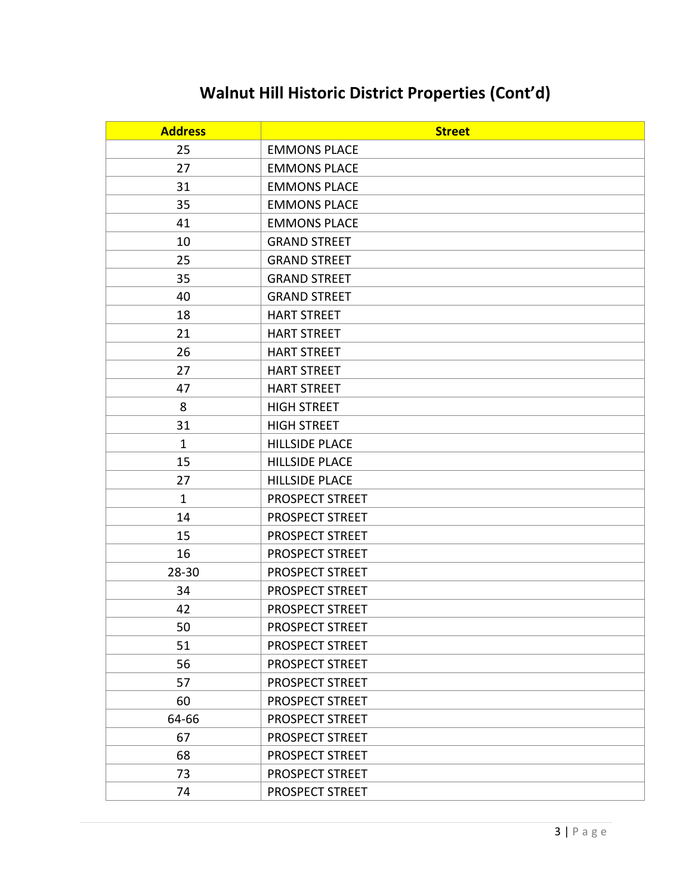# **Walnut Hill Historic District Properties (Cont'd)**

| <b>Address</b> | <b>Street</b>         |
|----------------|-----------------------|
| 25             | <b>EMMONS PLACE</b>   |
| 27             | <b>EMMONS PLACE</b>   |
| 31             | <b>EMMONS PLACE</b>   |
| 35             | <b>EMMONS PLACE</b>   |
| 41             | <b>EMMONS PLACE</b>   |
| 10             | <b>GRAND STREET</b>   |
| 25             | <b>GRAND STREET</b>   |
| 35             | <b>GRAND STREET</b>   |
| 40             | <b>GRAND STREET</b>   |
| 18             | <b>HART STREET</b>    |
| 21             | <b>HART STREET</b>    |
| 26             | <b>HART STREET</b>    |
| 27             | <b>HART STREET</b>    |
| 47             | <b>HART STREET</b>    |
| 8              | <b>HIGH STREET</b>    |
| 31             | <b>HIGH STREET</b>    |
| $\mathbf{1}$   | <b>HILLSIDE PLACE</b> |
| 15             | <b>HILLSIDE PLACE</b> |
| 27             | <b>HILLSIDE PLACE</b> |
| $\mathbf{1}$   | PROSPECT STREET       |
| 14             | PROSPECT STREET       |
| 15             | PROSPECT STREET       |
| 16             | PROSPECT STREET       |
| 28-30          | PROSPECT STREET       |
| 34             | PROSPECT STREET       |
| 42             | PROSPECT STREET       |
| 50             | PROSPECT STREET       |
| 51             | PROSPECT STREET       |
| 56             | PROSPECT STREET       |
| 57             | PROSPECT STREET       |
| 60             | PROSPECT STREET       |
| 64-66          | PROSPECT STREET       |
| 67             | PROSPECT STREET       |
| 68             | PROSPECT STREET       |
| 73             | PROSPECT STREET       |
| 74             | PROSPECT STREET       |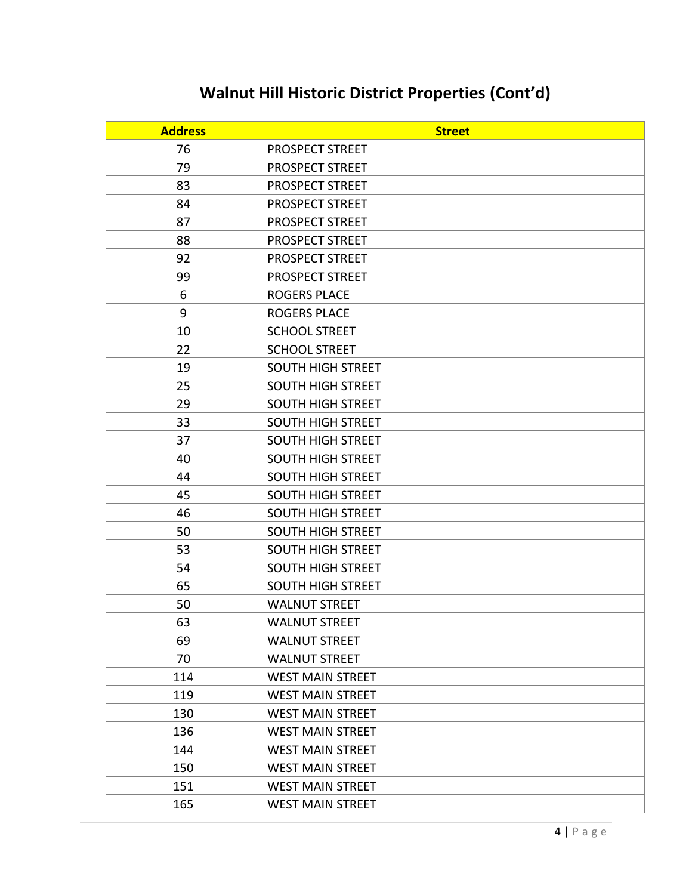# **Walnut Hill Historic District Properties (Cont'd)**

| <b>Address</b> | <b>Street</b>            |
|----------------|--------------------------|
| 76             | PROSPECT STREET          |
| 79             | PROSPECT STREET          |
| 83             | PROSPECT STREET          |
| 84             | PROSPECT STREET          |
| 87             | PROSPECT STREET          |
| 88             | PROSPECT STREET          |
| 92             | PROSPECT STREET          |
| 99             | PROSPECT STREET          |
| 6              | <b>ROGERS PLACE</b>      |
| 9              | <b>ROGERS PLACE</b>      |
| 10             | <b>SCHOOL STREET</b>     |
| 22             | <b>SCHOOL STREET</b>     |
| 19             | <b>SOUTH HIGH STREET</b> |
| 25             | <b>SOUTH HIGH STREET</b> |
| 29             | <b>SOUTH HIGH STREET</b> |
| 33             | <b>SOUTH HIGH STREET</b> |
| 37             | <b>SOUTH HIGH STREET</b> |
| 40             | <b>SOUTH HIGH STREET</b> |
| 44             | <b>SOUTH HIGH STREET</b> |
| 45             | <b>SOUTH HIGH STREET</b> |
| 46             | <b>SOUTH HIGH STREET</b> |
| 50             | <b>SOUTH HIGH STREET</b> |
| 53             | <b>SOUTH HIGH STREET</b> |
| 54             | <b>SOUTH HIGH STREET</b> |
| 65             | <b>SOUTH HIGH STREET</b> |
| 50             | <b>WALNUT STREET</b>     |
| 63             | <b>WALNUT STREET</b>     |
| 69             | <b>WALNUT STREET</b>     |
| 70             | <b>WALNUT STREET</b>     |
| 114            | <b>WEST MAIN STREET</b>  |
| 119            | <b>WEST MAIN STREET</b>  |
| 130            | <b>WEST MAIN STREET</b>  |
| 136            | <b>WEST MAIN STREET</b>  |
| 144            | <b>WEST MAIN STREET</b>  |
| 150            | <b>WEST MAIN STREET</b>  |
| 151            | <b>WEST MAIN STREET</b>  |
| 165            | <b>WEST MAIN STREET</b>  |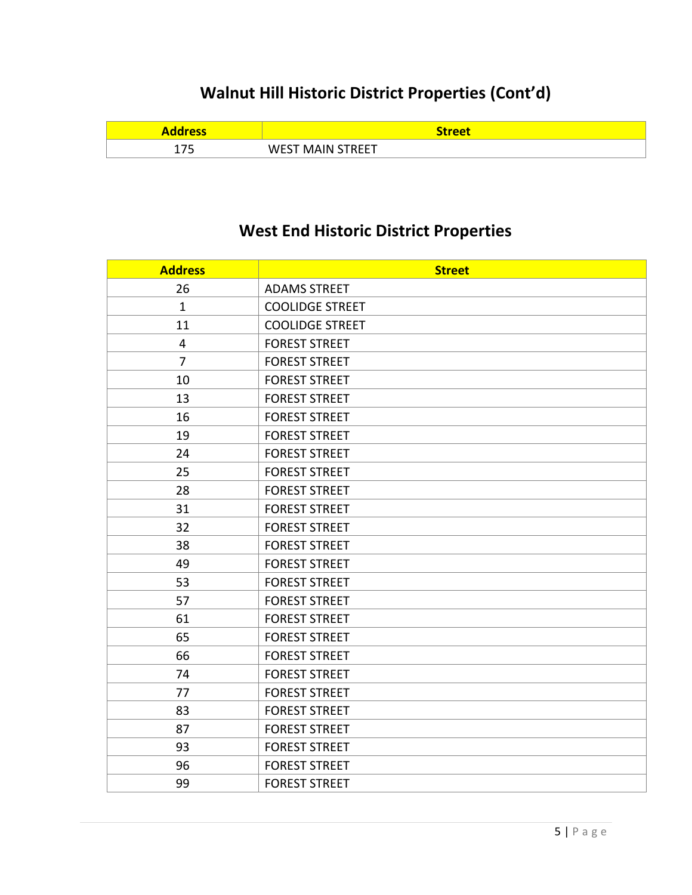## **Walnut Hill Historic District Properties (Cont'd)**

| ess                      | <b>reet</b>                        |
|--------------------------|------------------------------------|
| $\overline{\phantom{a}}$ | WEST<br>ותו<br>∣ INLL I<br><b></b> |

#### **West End Historic District Properties**

| <b>Address</b> | <b>Street</b>          |
|----------------|------------------------|
| 26             | <b>ADAMS STREET</b>    |
| $\mathbf{1}$   | <b>COOLIDGE STREET</b> |
| 11             | <b>COOLIDGE STREET</b> |
| 4              | <b>FOREST STREET</b>   |
| $\overline{7}$ | <b>FOREST STREET</b>   |
| 10             | <b>FOREST STREET</b>   |
| 13             | <b>FOREST STREET</b>   |
| 16             | <b>FOREST STREET</b>   |
| 19             | <b>FOREST STREET</b>   |
| 24             | <b>FOREST STREET</b>   |
| 25             | <b>FOREST STREET</b>   |
| 28             | <b>FOREST STREET</b>   |
| 31             | <b>FOREST STREET</b>   |
| 32             | <b>FOREST STREET</b>   |
| 38             | <b>FOREST STREET</b>   |
| 49             | <b>FOREST STREET</b>   |
| 53             | <b>FOREST STREET</b>   |
| 57             | <b>FOREST STREET</b>   |
| 61             | <b>FOREST STREET</b>   |
| 65             | <b>FOREST STREET</b>   |
| 66             | <b>FOREST STREET</b>   |
| 74             | <b>FOREST STREET</b>   |
| 77             | <b>FOREST STREET</b>   |
| 83             | <b>FOREST STREET</b>   |
| 87             | <b>FOREST STREET</b>   |
| 93             | <b>FOREST STREET</b>   |
| 96             | <b>FOREST STREET</b>   |
| 99             | <b>FOREST STREET</b>   |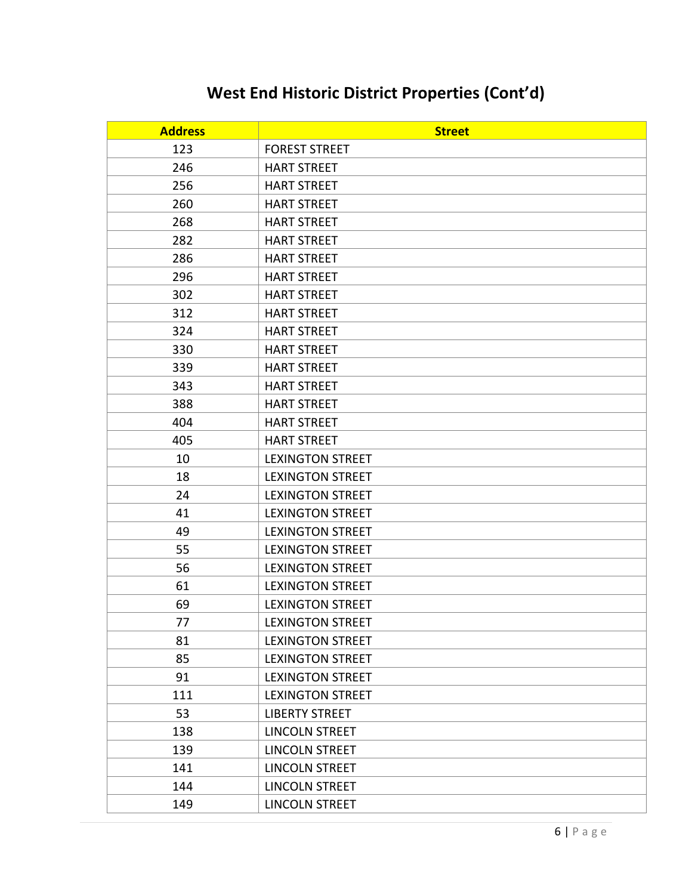| <b>Address</b> | <b>Street</b>           |
|----------------|-------------------------|
| 123            | <b>FOREST STREET</b>    |
| 246            | <b>HART STREET</b>      |
| 256            | <b>HART STREET</b>      |
| 260            | <b>HART STREET</b>      |
| 268            | <b>HART STREET</b>      |
| 282            | <b>HART STREET</b>      |
| 286            | <b>HART STREET</b>      |
| 296            | <b>HART STREET</b>      |
| 302            | <b>HART STREET</b>      |
| 312            | <b>HART STREET</b>      |
| 324            | <b>HART STREET</b>      |
| 330            | <b>HART STREET</b>      |
| 339            | <b>HART STREET</b>      |
| 343            | <b>HART STREET</b>      |
| 388            | <b>HART STREET</b>      |
| 404            | <b>HART STREET</b>      |
| 405            | <b>HART STREET</b>      |
| 10             | <b>LEXINGTON STREET</b> |
| 18             | <b>LEXINGTON STREET</b> |
| 24             | <b>LEXINGTON STREET</b> |
| 41             | <b>LEXINGTON STREET</b> |
| 49             | <b>LEXINGTON STREET</b> |
| 55             | <b>LEXINGTON STREET</b> |
| 56             | <b>LEXINGTON STREET</b> |
| 61             | <b>LEXINGTON STREET</b> |
| 69             | <b>LEXINGTON STREET</b> |
| 77             | <b>LEXINGTON STREET</b> |
| 81             | <b>LEXINGTON STREET</b> |
| 85             | <b>LEXINGTON STREET</b> |
| 91             | <b>LEXINGTON STREET</b> |
| 111            | <b>LEXINGTON STREET</b> |
| 53             | <b>LIBERTY STREET</b>   |
| 138            | LINCOLN STREET          |
| 139            | <b>LINCOLN STREET</b>   |
| 141            | <b>LINCOLN STREET</b>   |
| 144            | <b>LINCOLN STREET</b>   |
| 149            | <b>LINCOLN STREET</b>   |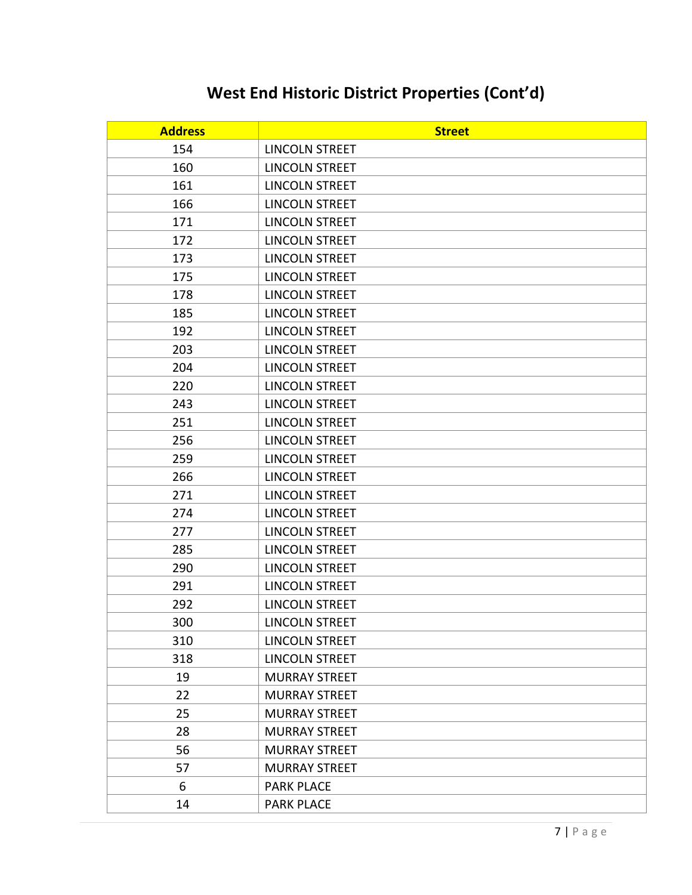| <b>Address</b> | <b>Street</b>         |
|----------------|-----------------------|
| 154            | LINCOLN STREET        |
| 160            | <b>LINCOLN STREET</b> |
| 161            | <b>LINCOLN STREET</b> |
| 166            | <b>LINCOLN STREET</b> |
| 171            | <b>LINCOLN STREET</b> |
| 172            | <b>LINCOLN STREET</b> |
| 173            | <b>LINCOLN STREET</b> |
| 175            | <b>LINCOLN STREET</b> |
| 178            | <b>LINCOLN STREET</b> |
| 185            | <b>LINCOLN STREET</b> |
| 192            | <b>LINCOLN STREET</b> |
| 203            | <b>LINCOLN STREET</b> |
| 204            | <b>LINCOLN STREET</b> |
| 220            | <b>LINCOLN STREET</b> |
| 243            | <b>LINCOLN STREET</b> |
| 251            | <b>LINCOLN STREET</b> |
| 256            | <b>LINCOLN STREET</b> |
| 259            | <b>LINCOLN STREET</b> |
| 266            | <b>LINCOLN STREET</b> |
| 271            | <b>LINCOLN STREET</b> |
| 274            | <b>LINCOLN STREET</b> |
| 277            | <b>LINCOLN STREET</b> |
| 285            | <b>LINCOLN STREET</b> |
| 290            | <b>LINCOLN STREET</b> |
| 291            | <b>LINCOLN STREET</b> |
| 292            | <b>LINCOLN STREET</b> |
| 300            | <b>LINCOLN STREET</b> |
| 310            | <b>LINCOLN STREET</b> |
| 318            | <b>LINCOLN STREET</b> |
| 19             | <b>MURRAY STREET</b>  |
| 22             | <b>MURRAY STREET</b>  |
| 25             | <b>MURRAY STREET</b>  |
| 28             | <b>MURRAY STREET</b>  |
| 56             | <b>MURRAY STREET</b>  |
| 57             | <b>MURRAY STREET</b>  |
| 6              | <b>PARK PLACE</b>     |
| 14             | <b>PARK PLACE</b>     |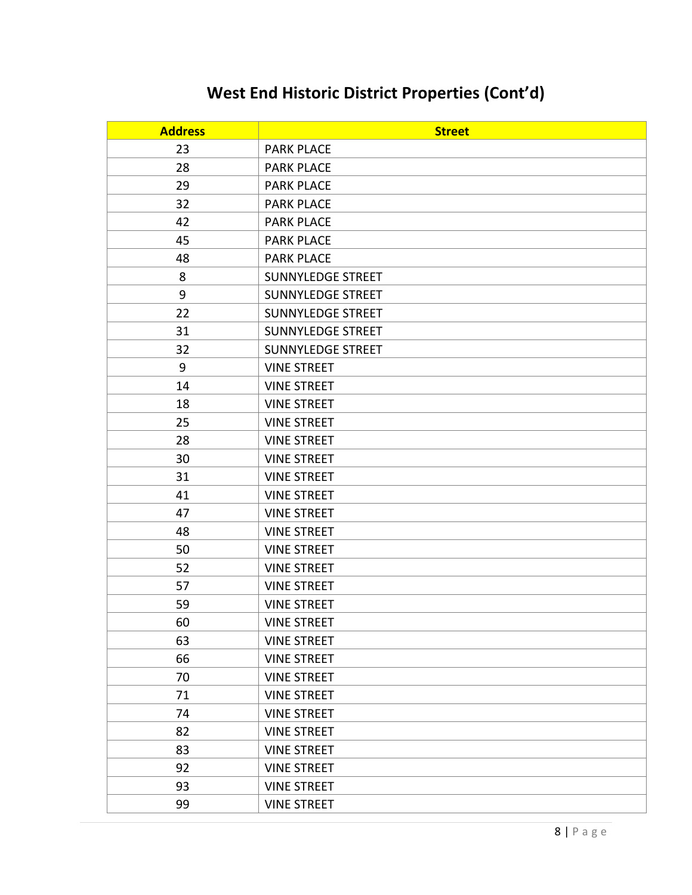| <b>Address</b> | <b>Street</b>            |
|----------------|--------------------------|
| 23             | <b>PARK PLACE</b>        |
| 28             | <b>PARK PLACE</b>        |
| 29             | <b>PARK PLACE</b>        |
| 32             | <b>PARK PLACE</b>        |
| 42             | <b>PARK PLACE</b>        |
| 45             | <b>PARK PLACE</b>        |
| 48             | <b>PARK PLACE</b>        |
| 8              | SUNNYLEDGE STREET        |
| 9              | <b>SUNNYLEDGE STREET</b> |
| 22             | SUNNYLEDGE STREET        |
| 31             | <b>SUNNYLEDGE STREET</b> |
| 32             | <b>SUNNYLEDGE STREET</b> |
| 9              | <b>VINE STREET</b>       |
| 14             | <b>VINE STREET</b>       |
| 18             | <b>VINE STREET</b>       |
| 25             | <b>VINE STREET</b>       |
| 28             | <b>VINE STREET</b>       |
| 30             | <b>VINE STREET</b>       |
| 31             | <b>VINE STREET</b>       |
| 41             | <b>VINE STREET</b>       |
| 47             | <b>VINE STREET</b>       |
| 48             | <b>VINE STREET</b>       |
| 50             | <b>VINE STREET</b>       |
| 52             | <b>VINE STREET</b>       |
| 57             | <b>VINE STREET</b>       |
| 59             | <b>VINE STREET</b>       |
| 60             | <b>VINE STREET</b>       |
| 63             | <b>VINE STREET</b>       |
| 66             | <b>VINE STREET</b>       |
| 70             | <b>VINE STREET</b>       |
| 71             | <b>VINE STREET</b>       |
| 74             | <b>VINE STREET</b>       |
| 82             | <b>VINE STREET</b>       |
| 83             | <b>VINE STREET</b>       |
| 92             | <b>VINE STREET</b>       |
| 93             | <b>VINE STREET</b>       |
| 99             | <b>VINE STREET</b>       |